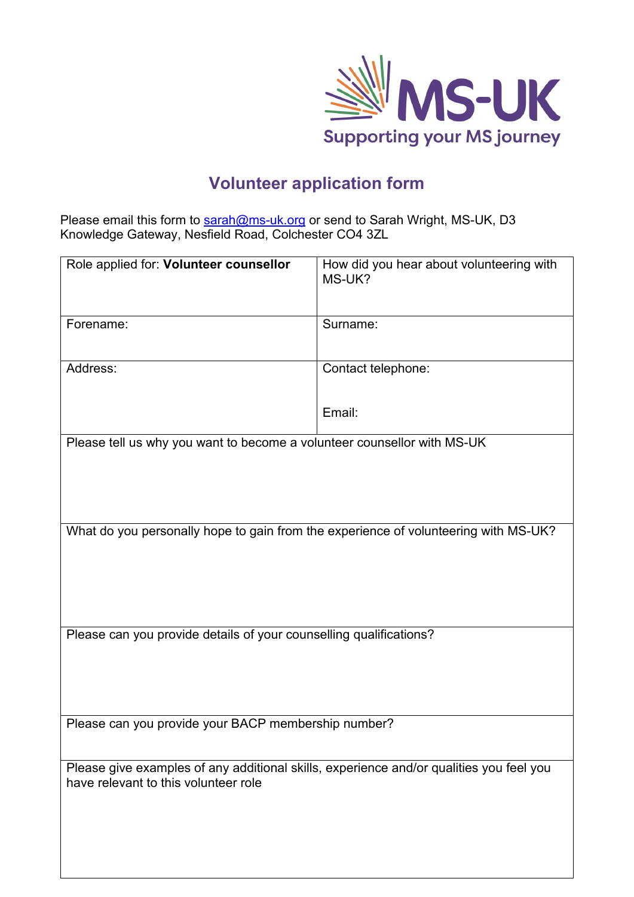

## **Volunteer application form**

Please email this form to <u>sarah@ms-uk.org</u> or send to Sarah Wright, MS-UK, D3 Knowledge Gateway, Nesfield Road, Colchester CO4 3ZL

| Role applied for: Volunteer counsellor                                                                                          | How did you hear about volunteering with<br>MS-UK? |
|---------------------------------------------------------------------------------------------------------------------------------|----------------------------------------------------|
| Forename:                                                                                                                       | Surname:                                           |
| Address:                                                                                                                        | Contact telephone:                                 |
|                                                                                                                                 | Email:                                             |
| Please tell us why you want to become a volunteer counsellor with MS-UK                                                         |                                                    |
| What do you personally hope to gain from the experience of volunteering with MS-UK?                                             |                                                    |
| Please can you provide details of your counselling qualifications?                                                              |                                                    |
| Please can you provide your BACP membership number?                                                                             |                                                    |
| Please give examples of any additional skills, experience and/or qualities you feel you<br>have relevant to this volunteer role |                                                    |